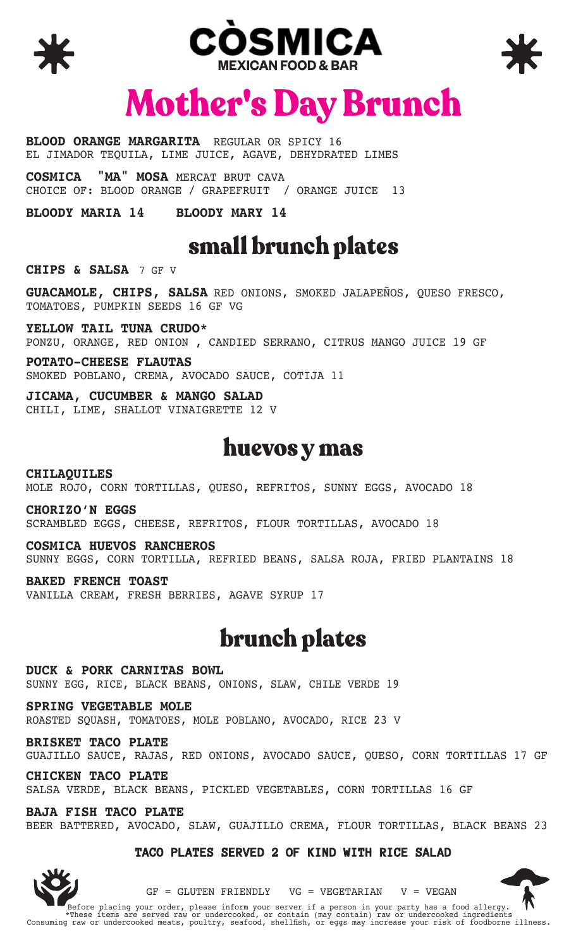





# Mother's Day Brunch

**BLOOD ORANGE MARGARITA** REGULAR OR SPICY 16 EL JIMADOR TEQUILA, LIME JUICE, AGAVE, DEHYDRATED LIMES

**COSMICA "MA" MOSA** MERCAT BRUT CAVA CHOICE OF: BLOOD ORANGE / GRAPEFRUIT / ORANGE JUICE 13

**BLOODY MARIA 14 BLOODY MARY 14**

## small brunch plates

**CHIPS & SALSA** 7 GF V

**GUACAMOLE, CHIPS, SALSA** RED ONIONS, SMOKED JALAPEÑOS, QUESO FRESCO, TOMATOES, PUMPKIN SEEDS 16 GF VG

**YELLOW TAIL TUNA CRUDO\*** PONZU, ORANGE, RED ONION , CANDIED SERRANO, CITRUS MANGO JUICE 19 GF

**POTATO-CHEESE FLAUTAS** SMOKED POBLANO, CREMA, AVOCADO SAUCE, COTIJA 11

**JICAMA, CUCUMBER & MANGO SALAD** CHILI, LIME, SHALLOT VINAIGRETTE 12 V

#### huevos y mas

**CHILAQUILES** MOLE ROJO, CORN TORTILLAS, QUESO, REFRITOS, SUNNY EGGS, AVOCADO 18

**CHORIZO'N EGGS** SCRAMBLED EGGS, CHEESE, REFRITOS, FLOUR TORTILLAS, AVOCADO 18

**COSMICA HUEVOS RANCHEROS** SUNNY EGGS, CORN TORTILLA, REFRIED BEANS, SALSA ROJA, FRIED PLANTAINS 18

**BAKED FRENCH TOAST** VANILLA CREAM, FRESH BERRIES, AGAVE SYRUP 17

### brunch plates

**DUCK & PORK CARNITAS BOWL** SUNNY EGG, RICE, BLACK BEANS, ONIONS, SLAW, CHILE VERDE 19

**SPRING VEGETABLE MOLE** ROASTED SQUASH, TOMATOES, MOLE POBLANO, AVOCADO, RICE 23 V

**BRISKET TACO PLATE**  GUAJILLO SAUCE, RAJAS, RED ONIONS, AVOCADO SAUCE, QUESO, CORN TORTILLAS 17 GF

**CHICKEN TACO PLATE** SALSA VERDE, BLACK BEANS, PICKLED VEGETABLES, CORN TORTILLAS 16 GF

**BAJA FISH TACO PLATE** BEER BATTERED, AVOCADO, SLAW, GUAJILLO CREMA, FLOUR TORTILLAS, BLACK BEANS 23

#### **TACO PLATES SERVED 2 OF KIND WITH RICE SALAD**



 $GF = GLUTEN FRIENDLY$   $VG = VEGETARIAN$   $V = VEGAN$ 



Before placing your order, please inform your server if a person in your party has a food allergy. \*These items are served raw or undercooked, or contain (may contain) raw or undercooked ingredients Consuming raw or undercooked meats, poultry, seafood, shellfish, or eggs may increase your risk of foodborne illness.